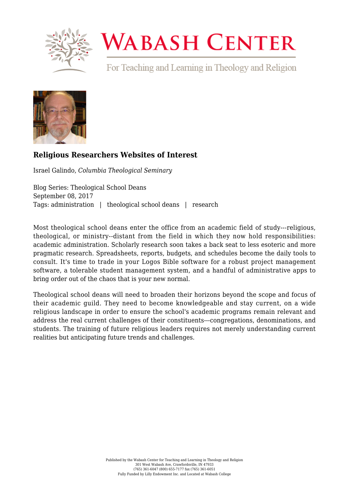

# **WABASH CENTER**

For Teaching and Learning in Theology and Religion



# **[Religious Researchers Websites of Interest](https://www.wabashcenter.wabash.edu/2017/09/religious-researchers-websites-interest/)**

Israel Galindo, *Columbia Theological Seminary*

Blog Series: Theological School Deans September 08, 2017 Tags: administration | theological school deans | research

Most theological school deans enter the office from an academic field of study---religious, theological, or ministry--distant from the field in which they now hold responsibilities: academic administration. Scholarly research soon takes a back seat to less esoteric and more pragmatic research. Spreadsheets, reports, budgets, and schedules become the daily tools to consult. It's time to trade in your Logos Bible software for a robust project management software, a tolerable student management system, and a handful of administrative apps to bring order out of the chaos that is your new normal.

Theological school deans will need to broaden their horizons beyond the scope and focus of their academic guild. They need to become knowledgeable and stay current, on a wide religious landscape in order to ensure the school's academic programs remain relevant and address the real current challenges of their constituents---congregations, denominations, and students. The training of future religious leaders requires not merely understanding current realities but anticipating future trends and challenges.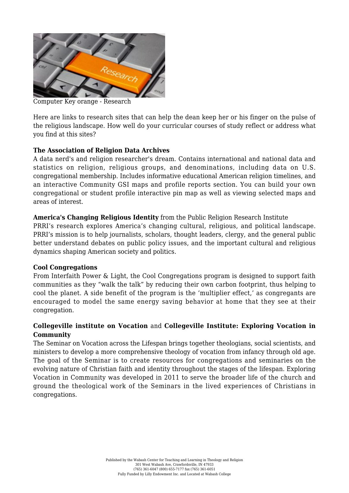

Computer Key orange - Research

Here are links to research sites that can help the dean keep her or his finger on the pulse of the religious landscape. How well do your curricular courses of study reflect or address what you find at this sites?

## **[The Association of Religion Data Archives](http://www.thearda.com/)**

A data nerd's and religion researcher's dream. Contains international and national data and statistics on religion, religious groups, and denominations, including data on U.S. congregational membership. Includes informative educational American religion timelines, and an interactive Community GSI maps and profile reports section. You can build your own congregational or student profile interactive pin map as well as viewing selected maps and areas of interest.

## **[America's Changing Religious Identity](https://www.prri.org/research/american-religious-landscape-christian-religiously-unaffiliated/)** from the Public Religion Research Institute

PRRI's research explores America's changing cultural, religious, and political landscape. PRRI's mission is to help journalists, scholars, thought leaders, clergy, and the general public better understand debates on public policy issues, and the important cultural and religious dynamics shaping American society and politics.

#### **[Cool Congregations](http://www.coolcongregations.org/)**

From Interfaith Power & Light, the Cool Congregations program is designed to support faith communities as they "walk the talk" by reducing their own carbon footprint, thus helping to cool the planet. A side benefit of the program is the 'multiplier effect,' as congregants are encouraged to model the same energy saving behavior at home that they see at their congregation.

# **[Collegeville institute on Vocation](http://collegevilleinstitute.org/the-seminars/about-the-seminars/vocation-across-the-lifespan/)** and **[Collegeville Institute: Exploring Vocation in](http://collegevilleinstitute.org/the-seminars/resources-for-congregations/exploring-vocation-in-community/) [Community](http://collegevilleinstitute.org/the-seminars/resources-for-congregations/exploring-vocation-in-community/)**

The Seminar on Vocation across the Lifespan brings together theologians, social scientists, and ministers to develop a more comprehensive theology of vocation from infancy through old age. The goal of the Seminar is to create resources for congregations and seminaries on the evolving nature of Christian faith and identity throughout the stages of the lifespan. Exploring Vocation in Community was developed in 2011 to serve the broader life of the church and ground the theological work of the Seminars in the lived experiences of Christians in congregations.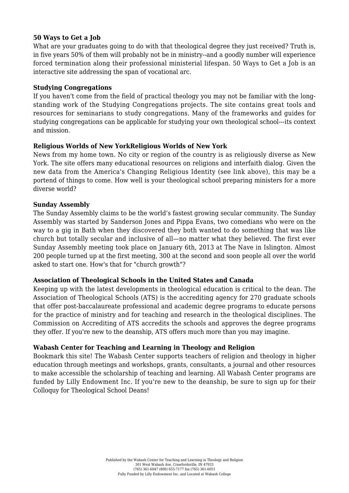#### **[50 Ways to Get a Job](http://50waystogetajob.com/)**

What are your graduates going to do with that theological degree they just received? Truth is, in five years 50% of them will probably not be in ministry--and a goodly number will experience forced termination along their professional ministerial lifespan. 50 Ways to Get a Job is an interactive site addressing the span of vocational arc.

#### **[Studying Congregations](http://studyingcongregations.org/)**

If you haven't come from the field of practical theology you may not be familiar with the longstanding work of the Studying Congregations projects. The site contains great tools and resources for seminarians to study congregations. Many of the frameworks and guides for studying congregations can be applicable for studying your own theological school---its context and mission.

#### **[Religious Worlds of New YorkReligious Worlds of New York](https://religiousworldsnyc.org/)**

News from my home town. No city or region of the country is as religiously diverse as New York. The site offers many educational resources on religions and interfaith dialog. Given the new data from the America's Changing Religious Identity (see link above), this may be a portend of things to come. How well is your theological school preparing ministers for a more diverse world?

#### **[Sunday Assembly](http://www.sundayassembly.com/)**

The Sunday Assembly claims to be the world's fastest growing secular community. The Sunday Assembly was started by Sanderson Jones and Pippa Evans, two comedians who were on the way to a gig in Bath when they discovered they both wanted to do something that was like church but totally secular and inclusive of all—no matter what they believed. The first ever Sunday Assembly meeting took place on January 6th, 2013 at The Nave in Islington. Almost 200 people turned up at the first meeting, 300 at the second and soon people all over the world asked to start one. How's that for "church growth"?

#### **[Association of Theological Schools in the United States and Canada](https://www.ats.edu/)**

Keeping up with the latest developments in theological education is critical to the dean. The Association of Theological Schools (ATS) is the accrediting agency for 270 graduate schools that offer post-baccalaureate professional and academic degree programs to educate persons for the practice of ministry and for teaching and research in the theological disciplines. The Commission on Accrediting of ATS accredits the schools and approves the degree programs they offer. If you're new to the deanship, ATS offers much more than you may imagine.

#### **[Wabash Center for Teaching and Learning in Theology and Religion](https://www.wabashcenter.wabash.edu/)**

Bookmark this site! The Wabash Center supports teachers of religion and theology in higher education through meetings and workshops, grants, consultants, a journal and other resources to make accessible the scholarship of teaching and learning. All Wabash Center programs are funded by Lilly Endowment Inc. If you're new to the deanship, be sure to sign up for their Colloquy for Theological School Deans!